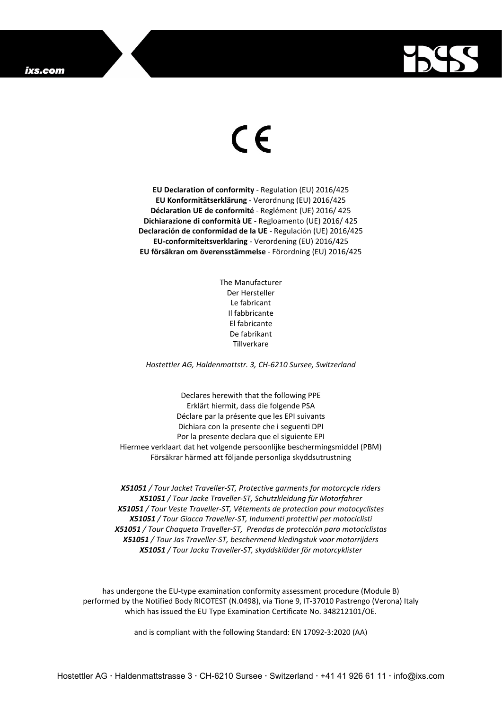## ixs.com



## $\epsilon$

**EU Declaration of conformity** - Regulation (EU) 2016/425 **EU Konformitätserklärung** - Verordnung (EU) 2016/425 **Déclaration UE de conformité** - Reglément (UE) 2016/ 425 **Dichiarazione di conformità UE** - Regloamento (UE) 2016/ 425 **Declaración de conformidad de la UE** - Regulación (UE) 2016/425 **EU-conformiteitsverklaring** - Verordening (EU) 2016/425 **EU försäkran om överensstämmelse** - Förordning (EU) 2016/425

> The Manufacturer Der Hersteller Le fabricant Il fabbricante El fabricante De fabrikant Tillverkare

*Hostettler AG, Haldenmattstr. 3, CH-6210 Sursee, Switzerland*

Declares herewith that the following PPE Erklärt hiermit, dass die folgende PSA Déclare par la présente que les EPI suivants Dichiara con la presente che i seguenti DPI Por la presente declara que el siguiente EPI Hiermee verklaart dat het volgende persoonlijke beschermingsmiddel (PBM) Försäkrar härmed att följande personliga skyddsutrustning

*X51051 / Tour Jacket Traveller-ST, Protective garments for motorcycle riders X51051 / Tour Jacke Traveller-ST, Schutzkleidung für Motorfahrer X51051 / Tour Veste Traveller-ST, Vêtements de protection pour motocyclistes X51051 / Tour Giacca Traveller-ST, Indumenti protettivi per motociclisti X51051 / Tour Chaqueta Traveller-ST, Prendas de protección para motociclistas X51051 / Tour Jas Traveller-ST, beschermend kledingstuk voor motorrijders X51051 / Tour Jacka Traveller-ST, skyddskläder för motorcyklister*

has undergone the EU-type examination conformity assessment procedure (Module B) performed by the Notified Body RICOTEST (N.0498), via Tione 9, IT-37010 Pastrengo (Verona) Italy which has issued the EU Type Examination Certificate No. 348212101/OE.

and is compliant with the following Standard: EN 17092-3:2020 (AA)